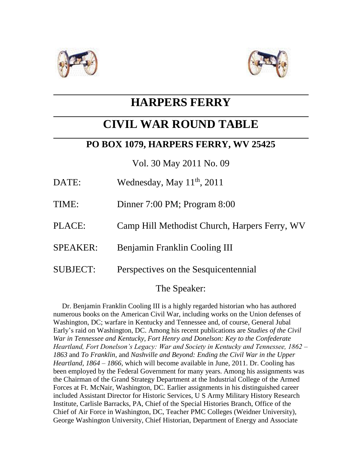



# **HARPERS FERRY**

# **CIVIL WAR ROUND TABLE**

## **PO BOX 1079, HARPERS FERRY, WV 25425**

Vol. 30 May 2011 No. 09

- DATE: Wednesday, May  $11^{th}$ , 2011
- TIME: Dinner 7:00 PM; Program 8:00
- PLACE: Camp Hill Methodist Church, Harpers Ferry, WV
- SPEAKER: Benjamin Franklin Cooling III
- SUBJECT: Perspectives on the Sesquicentennial

## The Speaker:

 Dr. Benjamin Franklin Cooling III is a highly regarded historian who has authored numerous books on the American Civil War, including works on the Union defenses of Washington, DC; warfare in Kentucky and Tennessee and, of course, General Jubal Early's raid on Washington, DC. Among his recent publications are *Studies of the Civil War in Tennessee and Kentucky, Fort Henry and Donelson: Key to the Confederate Heartland, Fort Donelson's Legacy: War and Society in Kentucky and Tennessee, 1862 – 1863* and *To Franklin,* and *Nashville and Beyond: Ending the Civil War in the Upper Heartland, 1864 – 1866,* which will become available in June, 2011. Dr. Cooling has been employed by the Federal Government for many years. Among his assignments was the Chairman of the Grand Strategy Department at the Industrial College of the Armed Forces at Ft. McNair, Washington, DC. Earlier assignments in his distinguished career included Assistant Director for Historic Services, U S Army Military History Research Institute, Carlisle Barracks, PA, Chief of the Special Histories Branch, Office of the Chief of Air Force in Washington, DC, Teacher PMC Colleges (Weidner University), George Washington University, Chief Historian, Department of Energy and Associate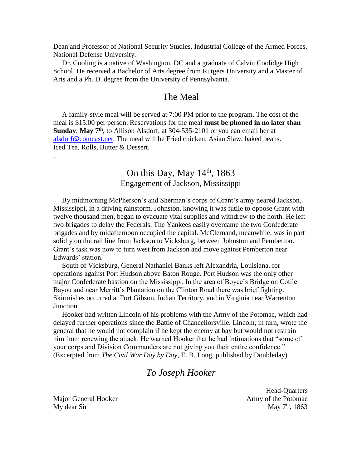Dean and Professor of National Security Studies, Industrial College of the Armed Forces, National Defense University.

 Dr. Cooling is a native of Washington, DC and a graduate of Calvin Coolidge High School. He received a Bachelor of Arts degree from Rutgers University and a Master of Arts and a Ph. D. degree from the University of Pennsylvania.

#### The Meal

 A family-style meal will be served at 7:00 PM prior to the program. The cost of the meal is \$15.00 per person. Reservations for the meal **must be phoned in no later than Sunday**, **May 7th**, to Allison Alsdorf, at 304-535-2101 or you can email her at [alsdorf@comcast.net.](mailto:alsdorf@comcast.net) The meal will be Fried chicken, Asian Slaw, baked beans. Iced Tea, Rolls, Butter & Dessert.

## On this Day, May  $14<sup>th</sup>$ , 1863 Engagement of Jackson, Mississippi

 By midmorning McPherson's and Sherman's corps of Grant's army neared Jackson, Mississippi, in a driving rainstorm. Johnston, knowing it was futile to oppose Grant with twelve thousand men, began to evacuate vital supplies and withdrew to the north. He left two brigades to delay the Federals. The Yankees easily overcame the two Confederate brigades and by midafternoon occupied the capital. McClernand, meanwhile, was in part solidly on the rail line from Jackson to Vicksburg, between Johnston and Pemberton. Grant's task was now to turn west from Jackson and move against Pemberton near Edwards' station.

 South of Vicksburg, General Nathaniel Banks left Alexandria, Louisiana, for operations against Port Hudson above Baton Rouge. Port Hudson was the only other major Confederate bastion on the Mississippi. In the area of Boyce's Bridge on Cotile Bayou and near Merritt's Plantation on the Clinton Road there was brief fighting. Skirmishes occurred at Fort Gibson, Indian Territory, and in Virginia near Warrenton Junction.

 Hooker had written Lincoln of his problems with the Army of the Potomac, which had delayed further operations since the Battle of Chancellorsville. Lincoln, in turn, wrote the general that he would not complain if he kept the enemy at bay but would not restrain him from renewing the attack. He warned Hooker that he had intimations that "some of your corps and Division Commanders are not giving you their entire confidence." (Excerpted from *The Civil War Day by Day,* E. B. Long, published by Doubleday)

### *To Joseph Hooker*

My dear Sir May  $7<sup>th</sup>$ , 1863

.

 Head-Quarters Major General Hooker **Army of the Potomac** Army of the Potomac